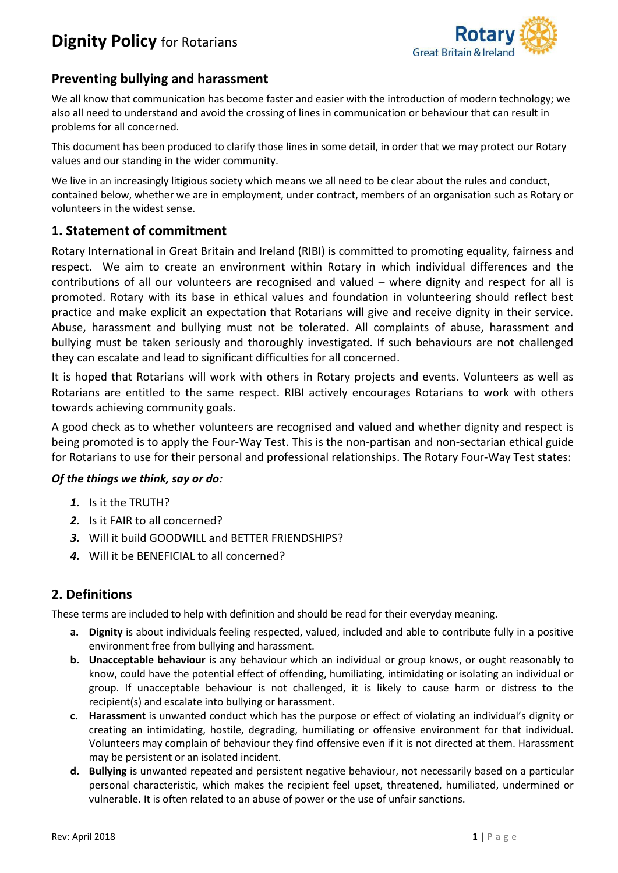

## **Preventing bullying and harassment**

We all know that communication has become faster and easier with the introduction of modern technology; we also all need to understand and avoid the crossing of lines in communication or behaviour that can result in problems for all concerned.

This document has been produced to clarify those lines in some detail, in order that we may protect our Rotary values and our standing in the wider community.

We live in an increasingly litigious society which means we all need to be clear about the rules and conduct, contained below, whether we are in employment, under contract, members of an organisation such as Rotary or volunteers in the widest sense.

### **1. Statement of commitment**

Rotary International in Great Britain and Ireland (RIBI) is committed to promoting equality, fairness and respect. We aim to create an environment within Rotary in which individual differences and the contributions of all our volunteers are recognised and valued – where dignity and respect for all is promoted. Rotary with its base in ethical values and foundation in volunteering should reflect best practice and make explicit an expectation that Rotarians will give and receive dignity in their service. Abuse, harassment and bullying must not be tolerated. All complaints of abuse, harassment and bullying must be taken seriously and thoroughly investigated. If such behaviours are not challenged they can escalate and lead to significant difficulties for all concerned.

It is hoped that Rotarians will work with others in Rotary projects and events. Volunteers as well as Rotarians are entitled to the same respect. RIBI actively encourages Rotarians to work with others towards achieving community goals.

A good check as to whether volunteers are recognised and valued and whether dignity and respect is being promoted is to apply the Four-Way Test. This is the non-partisan and non-sectarian ethical guide for Rotarians to use for their personal and professional relationships. The Rotary Four-Way Test states:

### *Of the things we think, say or do:*

- *1.* Is it the TRUTH?
- *2.* Is it FAIR to all concerned?
- *3.* Will it build GOODWILL and BETTER FRIENDSHIPS?
- *4.* Will it be BENEFICIAL to all concerned?

## **2. Definitions**

These terms are included to help with definition and should be read for their everyday meaning.

- **a. Dignity** is about individuals feeling respected, valued, included and able to contribute fully in a positive environment free from bullying and harassment.
- **b. Unacceptable behaviour** is any behaviour which an individual or group knows, or ought reasonably to know, could have the potential effect of offending, humiliating, intimidating or isolating an individual or group. If unacceptable behaviour is not challenged, it is likely to cause harm or distress to the recipient(s) and escalate into bullying or harassment.
- **c. Harassment** is unwanted conduct which has the purpose or effect of violating an individual's dignity or creating an intimidating, hostile, degrading, humiliating or offensive environment for that individual. Volunteers may complain of behaviour they find offensive even if it is not directed at them. Harassment may be persistent or an isolated incident.
- **d. Bullying** is unwanted repeated and persistent negative behaviour, not necessarily based on a particular personal characteristic, which makes the recipient feel upset, threatened, humiliated, undermined or vulnerable. It is often related to an abuse of power or the use of unfair sanctions.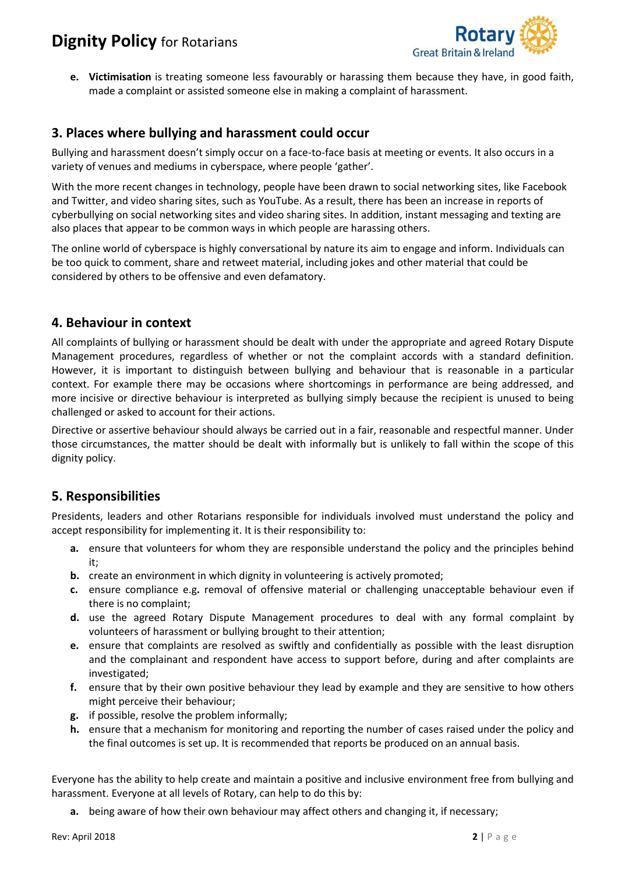

**e. Victimisation** is treating someone less favourably or harassing them because they have, in good faith, made a complaint or assisted someone else in making a complaint of harassment.

### **3. Places where bullying and harassment could occur**

Bullying and harassment doesn't simply occur on a face-to-face basis at meeting or events. It also occurs in a variety of venues and mediums in cyberspace, where people 'gather'.

With the more recent changes in technology, people have been drawn to social networking sites, like Facebook and Twitter, and video sharing sites, such as YouTube. As a result, there has been an increase in reports of cyberbullying on social networking sites and video sharing sites. In addition, instant messaging and texting are also places that appear to be common ways in which people are harassing others.

The online world of cyberspace is highly conversational by nature its aim to engage and inform. Individuals can be too quick to comment, share and retweet material, including jokes and other material that could be considered by others to be offensive and even defamatory.

### **4. Behaviour in context**

All complaints of bullying or harassment should be dealt with under the appropriate and agreed Rotary Dispute Management procedures, regardless of whether or not the complaint accords with a standard definition. However, it is important to distinguish between bullying and behaviour that is reasonable in a particular context. For example there may be occasions where shortcomings in performance are being addressed, and more incisive or directive behaviour is interpreted as bullying simply because the recipient is unused to being challenged or asked to account for their actions.

Directive or assertive behaviour should always be carried out in a fair, reasonable and respectful manner. Under those circumstances, the matter should be dealt with informally but is unlikely to fall within the scope of this dignity policy.

## **5. Responsibilities**

Presidents, leaders and other Rotarians responsible for individuals involved must understand the policy and accept responsibility for implementing it. It is their responsibility to:

- **a.** ensure that volunteers for whom they are responsible understand the policy and the principles behind it;
- **b.** create an environment in which dignity in volunteering is actively promoted;
- **c.** ensure compliance e.g**.** removal of offensive material or challenging unacceptable behaviour even if there is no complaint;
- **d.** use the agreed Rotary Dispute Management procedures to deal with any formal complaint by volunteers of harassment or bullying brought to their attention;
- **e.** ensure that complaints are resolved as swiftly and confidentially as possible with the least disruption and the complainant and respondent have access to support before, during and after complaints are investigated;
- **f.** ensure that by their own positive behaviour they lead by example and they are sensitive to how others might perceive their behaviour;
- **g.** if possible, resolve the problem informally;
- **h.** ensure that a mechanism for monitoring and reporting the number of cases raised under the policy and the final outcomes is set up. It is recommended that reports be produced on an annual basis.

Everyone has the ability to help create and maintain a positive and inclusive environment free from bullying and harassment. Everyone at all levels of Rotary, can help to do this by:

**a.** being aware of how their own behaviour may affect others and changing it, if necessary;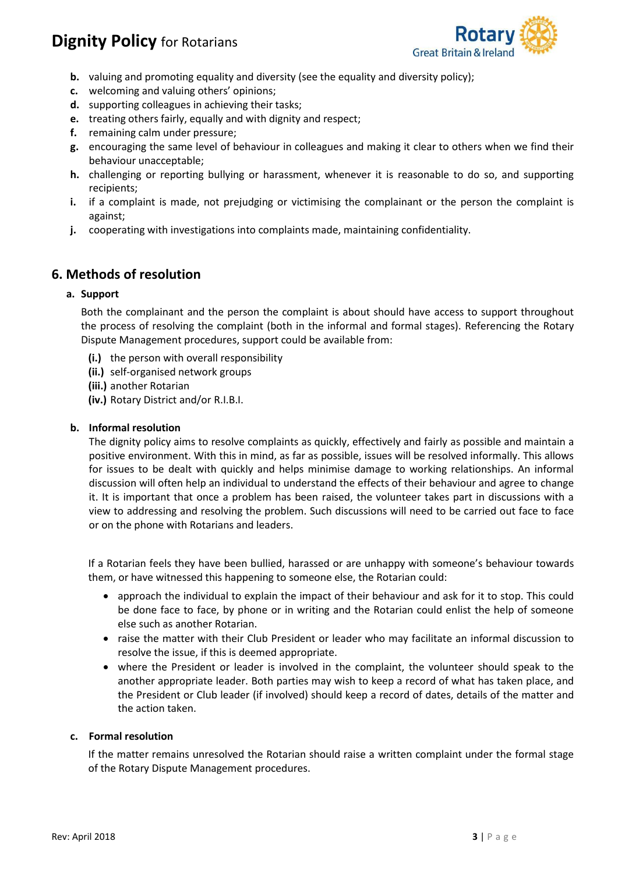

- **b.** valuing and promoting equality and diversity (see the equality and diversity policy);
- **c.** welcoming and valuing others' opinions;
- **d.** supporting colleagues in achieving their tasks;
- **e.** treating others fairly, equally and with dignity and respect;
- **f.** remaining calm under pressure;
- **g.** encouraging the same level of behaviour in colleagues and making it clear to others when we find their behaviour unacceptable;
- **h.** challenging or reporting bullying or harassment, whenever it is reasonable to do so, and supporting recipients;
- **i.** if a complaint is made, not prejudging or victimising the complainant or the person the complaint is against;
- **j.** cooperating with investigations into complaints made, maintaining confidentiality.

### **6. Methods of resolution**

### **a. Support**

Both the complainant and the person the complaint is about should have access to support throughout the process of resolving the complaint (both in the informal and formal stages). Referencing the Rotary Dispute Management procedures, support could be available from:

- **(i.)** the person with overall responsibility
- **(ii.)** self-organised network groups
- **(iii.)** another Rotarian
- **(iv.)** Rotary District and/or R.I.B.I.

### **b. Informal resolution**

The dignity policy aims to resolve complaints as quickly, effectively and fairly as possible and maintain a positive environment. With this in mind, as far as possible, issues will be resolved informally. This allows for issues to be dealt with quickly and helps minimise damage to working relationships. An informal discussion will often help an individual to understand the effects of their behaviour and agree to change it. It is important that once a problem has been raised, the volunteer takes part in discussions with a view to addressing and resolving the problem. Such discussions will need to be carried out face to face or on the phone with Rotarians and leaders.

If a Rotarian feels they have been bullied, harassed or are unhappy with someone's behaviour towards them, or have witnessed this happening to someone else, the Rotarian could:

- approach the individual to explain the impact of their behaviour and ask for it to stop. This could be done face to face, by phone or in writing and the Rotarian could enlist the help of someone else such as another Rotarian.
- raise the matter with their Club President or leader who may facilitate an informal discussion to resolve the issue, if this is deemed appropriate.
- where the President or leader is involved in the complaint, the volunteer should speak to the another appropriate leader. Both parties may wish to keep a record of what has taken place, and the President or Club leader (if involved) should keep a record of dates, details of the matter and the action taken.

### **c. Formal resolution**

If the matter remains unresolved the Rotarian should raise a written complaint under the formal stage of the Rotary Dispute Management procedures.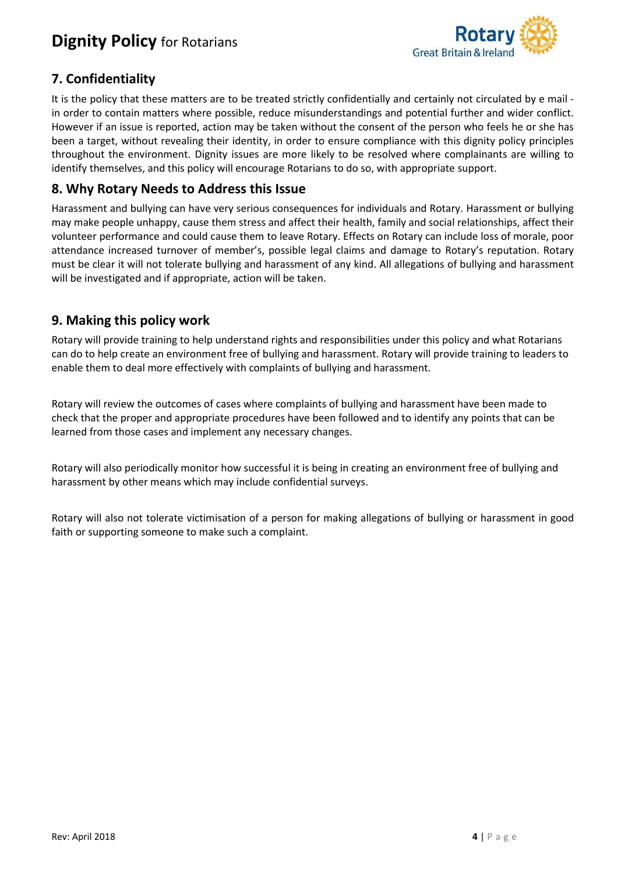

# **7. Confidentiality**

It is the policy that these matters are to be treated strictly confidentially and certainly not circulated by e mail in order to contain matters where possible, reduce misunderstandings and potential further and wider conflict. However if an issue is reported, action may be taken without the consent of the person who feels he or she has been a target, without revealing their identity, in order to ensure compliance with this dignity policy principles throughout the environment. Dignity issues are more likely to be resolved where complainants are willing to identify themselves, and this policy will encourage Rotarians to do so, with appropriate support.

## **8. Why Rotary Needs to Address this Issue**

Harassment and bullying can have very serious consequences for individuals and Rotary. Harassment or bullying may make people unhappy, cause them stress and affect their health, family and social relationships, affect their volunteer performance and could cause them to leave Rotary. Effects on Rotary can include loss of morale, poor attendance increased turnover of member's, possible legal claims and damage to Rotary's reputation. Rotary must be clear it will not tolerate bullying and harassment of any kind. All allegations of bullying and harassment will be investigated and if appropriate, action will be taken.

## **9. Making this policy work**

Rotary will provide training to help understand rights and responsibilities under this policy and what Rotarians can do to help create an environment free of bullying and harassment. Rotary will provide training to leaders to enable them to deal more effectively with complaints of bullying and harassment.

Rotary will review the outcomes of cases where complaints of bullying and harassment have been made to check that the proper and appropriate procedures have been followed and to identify any points that can be learned from those cases and implement any necessary changes.

Rotary will also periodically monitor how successful it is being in creating an environment free of bullying and harassment by other means which may include confidential surveys.

Rotary will also not tolerate victimisation of a person for making allegations of bullying or harassment in good faith or supporting someone to make such a complaint.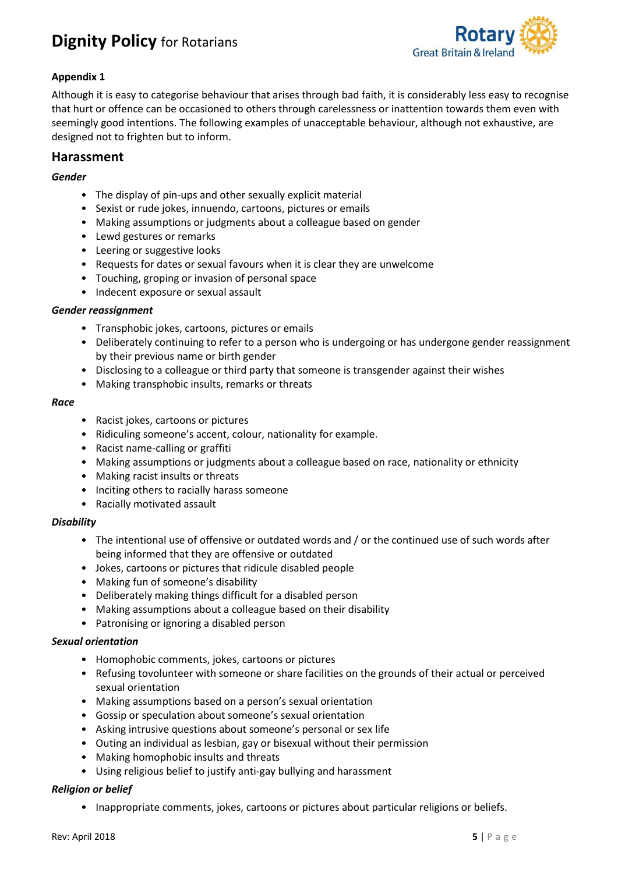

### **Appendix 1**

Although it is easy to categorise behaviour that arises through bad faith, it is considerably less easy to recognise that hurt or offence can be occasioned to others through carelessness or inattention towards them even with seemingly good intentions. The following examples of unacceptable behaviour, although not exhaustive, are designed not to frighten but to inform.

### **Harassment**

### *Gender*

- The display of pin-ups and other sexually explicit material
- Sexist or rude jokes, innuendo, cartoons, pictures or emails
- Making assumptions or judgments about a colleague based on gender
- Lewd gestures or remarks
- Leering or suggestive looks
- Requests for dates or sexual favours when it is clear they are unwelcome
- Touching, groping or invasion of personal space
- Indecent exposure or sexual assault

### *Gender reassignment*

- Transphobic jokes, cartoons, pictures or emails
- Deliberately continuing to refer to a person who is undergoing or has undergone gender reassignment by their previous name or birth gender
- Disclosing to a colleague or third party that someone is transgender against their wishes
- Making transphobic insults, remarks or threats

#### *Race*

- Racist jokes, cartoons or pictures
- Ridiculing someone's accent, colour, nationality for example.
- Racist name-calling or graffiti
- Making assumptions or judgments about a colleague based on race, nationality or ethnicity
- Making racist insults or threats
- Inciting others to racially harass someone
- Racially motivated assault

### *Disability*

- The intentional use of offensive or outdated words and / or the continued use of such words after being informed that they are offensive or outdated
- Jokes, cartoons or pictures that ridicule disabled people
- Making fun of someone's disability
- Deliberately making things difficult for a disabled person
- Making assumptions about a colleague based on their disability
- Patronising or ignoring a disabled person

### *Sexual orientation*

- Homophobic comments, jokes, cartoons or pictures
- Refusing tovolunteer with someone or share facilities on the grounds of their actual or perceived sexual orientation
- Making assumptions based on a person's sexual orientation
- Gossip or speculation about someone's sexual orientation
- Asking intrusive questions about someone's personal or sex life
- Outing an individual as lesbian, gay or bisexual without their permission
- Making homophobic insults and threats
- Using religious belief to justify anti-gay bullying and harassment

### *Religion or belief*

• Inappropriate comments, jokes, cartoons or pictures about particular religions or beliefs.